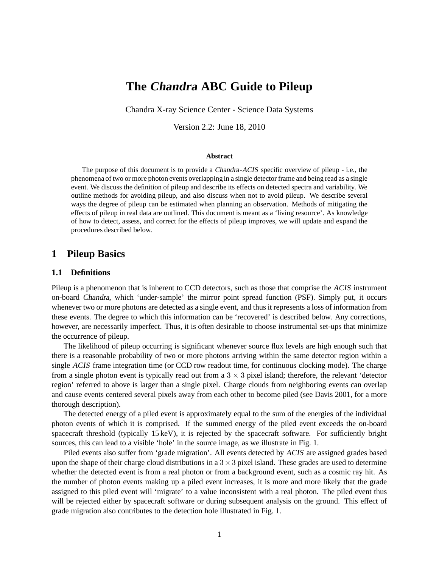# **The Chandra ABC Guide to Pileup**

Chandra X-ray Science Center - Science Data Systems

Version 2.2: June 18, 2010

#### **Abstract**

The purpose of this document is to provide a Chandra-ACIS specific overview of pileup - i.e., the phenomena of two or more photon events overlapping in a single detector frame and being read as a single event. We discuss the definition of pileup and describe its effects on detected spectra and variability. We outline methods for avoiding pileup, and also discuss when not to avoid pileup. We describe several ways the degree of pileup can be estimated when planning an observation. Methods of mitigating the effects of pileup in real data are outlined. This document is meant as a 'living resource'. As knowledge of how to detect, assess, and correct for the effects of pileup improves, we will update and expand the procedures described below.

### **1 Pileup Basics**

#### **1.1 Definitions**

Pileup is a phenomenon that is inherent to CCD detectors, such as those that comprise the ACIS instrument on-board Chandra, which 'under-sample' the mirror point spread function (PSF). Simply put, it occurs whenever two or more photons are detected as a single event, and thus it represents a loss of information from these events. The degree to which this information can be 'recovered' is described below. Any corrections, however, are necessarily imperfect. Thus, it is often desirable to choose instrumental set-ups that minimize the occurrence of pileup.

The likelihood of pileup occurring is significant whenever source flux levels are high enough such that there is a reasonable probability of two or more photons arriving within the same detector region within a single ACIS frame integration time (or CCD row readout time, for continuous clocking mode). The charge from a single photon event is typically read out from a  $3 \times 3$  pixel island; therefore, the relevant 'detector region' referred to above is larger than a single pixel. Charge clouds from neighboring events can overlap and cause events centered several pixels away from each other to become piled (see Davis 2001, for a more thorough description).

The detected energy of a piled event is approximately equal to the sum of the energies of the individual photon events of which it is comprised. If the summed energy of the piled event exceeds the on-board spacecraft threshold (typically 15 keV), it is rejected by the spacecraft software. For sufficiently bright sources, this can lead to a visible 'hole' in the source image, as we illustrate in Fig. 1.

Piled events also suffer from 'grade migration'. All events detected by ACIS are assigned grades based upon the shape of their charge cloud distributions in a  $3 \times 3$  pixel island. These grades are used to determine whether the detected event is from a real photon or from a background event, such as a cosmic ray hit. As the number of photon events making up a piled event increases, it is more and more likely that the grade assigned to this piled event will 'migrate' to a value inconsistent with a real photon. The piled event thus will be rejected either by spacecraft software or during subsequent analysis on the ground. This effect of grade migration also contributes to the detection hole illustrated in Fig. 1.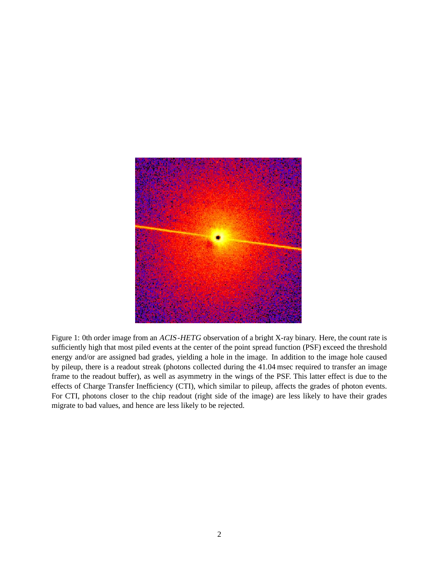

Figure 1: 0th order image from an ACIS-HETG observation of a bright X-ray binary. Here, the count rate is sufficiently high that most piled events at the center of the point spread function (PSF) exceed the threshold energy and/or are assigned bad grades, yielding a hole in the image. In addition to the image hole caused by pileup, there is a readout streak (photons collected during the 41.04 msec required to transfer an image frame to the readout buffer), as well as asymmetry in the wings of the PSF. This latter effect is due to the effects of Charge Transfer Inefficiency (CTI), which similar to pileup, affects the grades of photon events. For CTI, photons closer to the chip readout (right side of the image) are less likely to have their grades migrate to bad values, and hence are less likely to be rejected.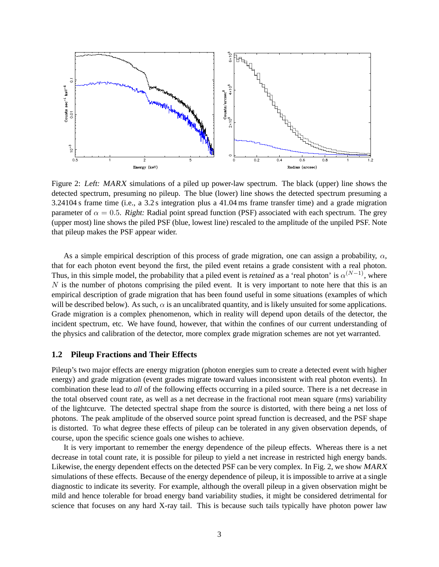

Figure 2: Left: MARX simulations of a piled up power-law spectrum. The black (upper) line shows the detected spectrum, presuming no pileup. The blue (lower) line shows the detected spectrum presuming a 3.24104 s frame time (i.e., a 3.2 s integration plus a 41.04 ms frame transfer time) and a grade migration parameter of  $\alpha = 0.5$ . Right: Radial point spread function (PSF) associated with each spectrum. The grey (upper most) line shows the piled PSF (blue, lowest line) rescaled to the amplitude of the unpiled PSF. Note that pileup makes the PSF appear wider.

As a simple empirical description of this process of grade migration, one can assign a probability,  $\alpha$ , that for each photon event beyond the first, the piled event retains a grade consistent with a real photon. Thus, in this simple model, the probability that a piled event is *retained* as a 'real photon' is  $\alpha^{(N-1)}$ , where  $N$  is the number of photons comprising the piled event. It is very important to note here that this is an empirical description of grade migration that has been found useful in some situations (examples of which will be described below). As such,  $\alpha$  is an uncalibrated quantity, and is likely unsuited for some applications. Grade migration is a complex phenomenon, which in reality will depend upon details of the detector, the incident spectrum, etc. We have found, however, that within the confines of our current understanding of the physics and calibration of the detector, more complex grade migration schemes are not yet warranted.

#### **1.2 Pileup Fractions and Their Effects**

Pileup's two major effects are energy migration (photon energies sum to create a detected event with higher energy) and grade migration (event grades migrate toward values inconsistent with real photon events). In combination these lead to *all* of the following effects occurring in a piled source. There is a net decrease in the total observed count rate, as well as a net decrease in the fractional root mean square (rms) variability of the lightcurve. The detected spectral shape from the source is distorted, with there being a net loss of photons. The peak amplitude of the observed source point spread function is decreased, and the PSF shape is distorted. To what degree these effects of pileup can be tolerated in any given observation depends, of course, upon the specific science goals one wishes to achieve.

It is very important to remember the energy dependence of the pileup effects. Whereas there is a net decrease in total count rate, it is possible for pileup to yield a net increase in restricted high energy bands. Likewise, the energy dependent effects on the detected PSF can be very complex. In Fig. 2, we show MARX simulations of these effects. Because of the energy dependence of pileup, it is impossible to arrive at a single diagnostic to indicate its severity. For example, although the overall pileup in a given observation might be mild and hence tolerable for broad energy band variability studies, it might be considered detrimental for science that focuses on any hard X-ray tail. This is because such tails typically have photon power law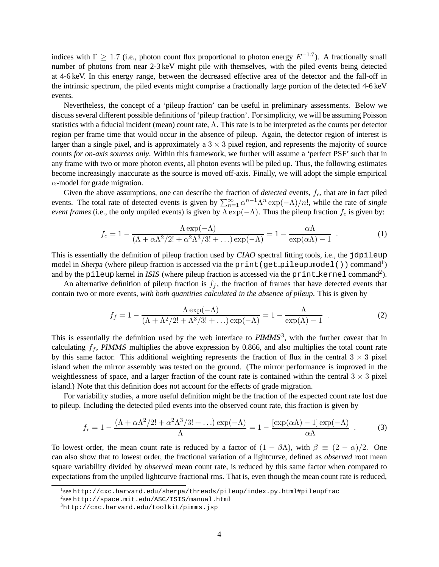indices with  $\Gamma \geq 1.7$  (i.e., photon count flux proportional to photon energy  $E^{-1.7}$ ). A fractionally small number of photons from near 2-3 keV might pile with themselves, with the piled events being detected at 4-6 keV. In this energy range, between the decreased effective area of the detector and the fall-off in the intrinsic spectrum, the piled events might comprise a fractionally large portion of the detected 4-6 keV events.

Nevertheless, the concept of a 'pileup fraction' can be useful in preliminary assessments. Below we discuss several different possible definitions of 'pileup fraction'. For simplicity, we will be assuming Poisson statistics with a fiducial incident (mean) count rate,  $\Lambda$ . This rate is to be interpreted as the counts per detector region per frame time that would occur in the absence of pileup. Again, the detector region of interest is larger than a single pixel, and is approximately a  $3 \times 3$  pixel region, and represents the majority of source counts *for on-axis sources only*. Within this framework, we further will assume a 'perfect PSF' such that in any frame with two or more photon events, all photon events will be piled up. Thus, the following estimates become increasingly inaccurate as the source is moved off-axis. Finally, we will adopt the simple empirical  $\alpha$ -model for grade migration.

Given the above assumptions, one can describe the fraction of *detected* events,  $f_e$ , that are in fact piled events. The total rate of detected events is given by  $\sum_{n=1}^{\infty} \alpha^{n-1} \Lambda^n \exp(-\Lambda)/n!$ , while the rate of *single event frames* (i.e., the only unpiled events) is given by  $\Lambda \exp(-\Lambda)$ . Thus the pileup fraction  $f_e$  is given by:

$$
f_e = 1 - \frac{\Lambda \exp(-\Lambda)}{(\Lambda + \alpha \Lambda^2/2! + \alpha^2 \Lambda^3/3! + \dots) \exp(-\Lambda)} = 1 - \frac{\alpha \Lambda}{\exp(\alpha \Lambda) - 1} \tag{1}
$$

This is essentially the definition of pileup fraction used by CIAO spectral fitting tools, i.e., the jdpileup model in Sherpa (where pileup fraction is accessed via the print (get pileup model()) command<sup>1</sup>) and by the pileup kernel in ISIS (where pileup fraction is accessed via the print\_kernel command<sup>2</sup>).

An alternative definition of pileup fraction is  $f_f$ , the fraction of frames that have detected events that contain two or more events, *with both quantities calculated in the absence of pileup*. This is given by

$$
f_f = 1 - \frac{\Lambda \exp(-\Lambda)}{(\Lambda + \Lambda^2/2! + \Lambda^3/3! + \ldots) \exp(-\Lambda)} = 1 - \frac{\Lambda}{\exp(\Lambda) - 1} \tag{2}
$$

This is essentially the definition used by the web interface to  $PIMMS<sup>3</sup>$ , with the further caveat that in calculating  $f_f$ , PIMMS multiplies the above expression by 0.866, and also multiplies the total count rate by this same factor. This additional weighting represents the fraction of flux in the central  $3 \times 3$  pixel island when the mirror assembly was tested on the ground. (The mirror performance is improved in the weightlessness of space, and a larger fraction of the count rate is contained within the central  $3 \times 3$  pixel island.) Note that this definition does not account for the effects of grade migration.

For variability studies, a more useful definition might be the fraction of the expected count rate lost due to pileup. Including the detected piled events into the observed count rate, this fraction is given by

$$
f_r = 1 - \frac{(\Lambda + \alpha \Lambda^2 / 2! + \alpha^2 \Lambda^3 / 3! + \dots) \exp(-\Lambda)}{\Lambda} = 1 - \frac{[\exp(\alpha \Lambda) - 1] \exp(-\Lambda)}{\alpha \Lambda} \tag{3}
$$

To lowest order, the mean count rate is reduced by a factor of  $(1 - \beta \Lambda)$ , with  $\beta \equiv (2 - \alpha)/2$ . One can also show that to lowest order, the fractional variation of a lightcurve, defined as *observed* root mean square variability divided by *observed* mean count rate, is reduced by this same factor when compared to expectations from the unpiled lightcurve fractional rms. That is, even though the mean count rate is reduced,

<sup>1</sup> see http://cxc.harvard.edu/sherpa/threads/pileup/index.py.html#pileupfrac

<sup>2</sup> see http://space.mit.edu/ASC/ISIS/manual.html

<sup>3</sup>http://cxc.harvard.edu/toolkit/pimms.jsp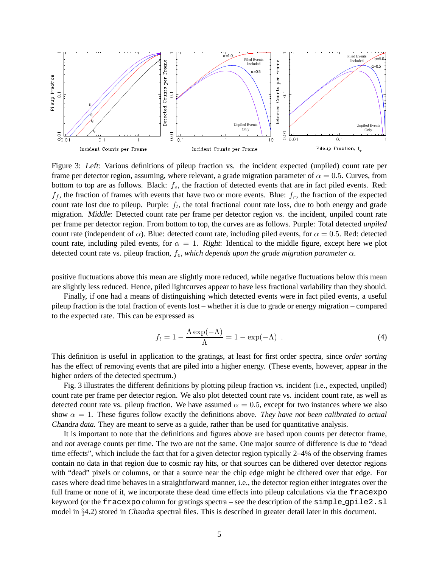

Figure 3: Left: Various definitions of pileup fraction vs. the incident expected (unpiled) count rate per frame per detector region, assuming, where relevant, a grade migration parameter of  $\alpha = 0.5$ . Curves, from bottom to top are as follows. Black:  $f_e$ , the fraction of detected events that are in fact piled events. Red:  $f_f$ , the fraction of frames with events that have two or more events. Blue:  $f_r$ , the fraction of the expected count rate lost due to pileup. Purple:  $f_t$ , the total fractional count rate loss, due to both energy and grade migration. Middle: Detected count rate per frame per detector region vs. the incident, unpiled count rate per frame per detector region. From bottom to top, the curves are as follows. Purple: Total detected *unpiled* count rate (independent of  $\alpha$ ). Blue: detected count rate, including piled events, for  $\alpha = 0.5$ . Red: detected count rate, including piled events, for  $\alpha = 1$ . Right: Identical to the middle figure, except here we plot detected count rate vs. pileup fraction,  $f_e$ , *which depends upon the grade migration parameter*  $\alpha$ .

positive fluctuations above this mean are slightly more reduced, while negative fluctuations below this mean are slightly less reduced. Hence, piled lightcurves appear to have less fractional variability than they should.

Finally, if one had a means of distinguishing which detected events were in fact piled events, a useful pileup fraction is the total fraction of events lost – whether it is due to grade or energy migration – compared to the expected rate. This can be expressed as

$$
f_t = 1 - \frac{\Lambda \exp(-\Lambda)}{\Lambda} = 1 - \exp(-\Lambda) \tag{4}
$$

This definition is useful in application to the gratings, at least for first order spectra, since *order sorting* has the effect of removing events that are piled into a higher energy. (These events, however, appear in the higher orders of the detected spectrum.)

Fig. 3 illustrates the different definitions by plotting pileup fraction vs. incident (i.e., expected, unpiled) count rate per frame per detector region. We also plot detected count rate vs. incident count rate, as well as detected count rate vs. pileup fraction. We have assumed  $\alpha = 0.5$ , except for two instances where we also show  $\alpha = 1$ . These figures follow exactly the definitions above. *They have not been calibrated to actual* Chandra *data.* They are meant to serve as a guide, rather than be used for quantitative analysis.

It is important to note that the definitions and figures above are based upon counts per detector frame, and *not* average counts per time. The two are not the same. One major source of difference is due to "dead time effects", which include the fact that for a given detector region typically 2–4% of the observing frames contain no data in that region due to cosmic ray hits, or that sources can be dithered over detector regions with "dead" pixels or columns, or that a source near the chip edge might be dithered over that edge. For cases where dead time behaves in a straightforward manner, i.e., the detector region either integrates over the full frame or none of it, we incorporate these dead time effects into pileup calculations via the fracexpo keyword (or the fracexpo column for gratings spectra – see the description of the simple gpile2.sl model in §4.2) stored in Chandra spectral files. This is described in greater detail later in this document.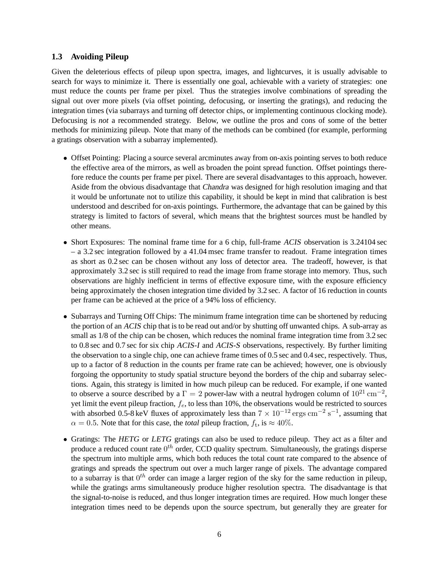### **1.3 Avoiding Pileup**

Given the deleterious effects of pileup upon spectra, images, and lightcurves, it is usually advisable to search for ways to minimize it. There is essentially one goal, achievable with a variety of strategies: one must reduce the counts per frame per pixel. Thus the strategies involve combinations of spreading the signal out over more pixels (via offset pointing, defocusing, or inserting the gratings), and reducing the integration times (via subarrays and turning off detector chips, or implementing continuous clocking mode). Defocusing is *not* a recommended strategy. Below, we outline the pros and cons of some of the better methods for minimizing pileup. Note that many of the methods can be combined (for example, performing a gratings observation with a subarray implemented).

- Offset Pointing: Placing a source several arcminutes away from on-axis pointing serves to both reduce the effective area of the mirrors, as well as broaden the point spread function. Offset pointings therefore reduce the counts per frame per pixel. There are several disadvantages to this approach, however. Aside from the obvious disadvantage that Chandra was designed for high resolution imaging and that it would be unfortunate not to utilize this capability, it should be kept in mind that calibration is best understood and described for on-axis pointings. Furthermore, the advantage that can be gained by this strategy is limited to factors of several, which means that the brightest sources must be handled by other means.
- Short Exposures: The nominal frame time for a 6 chip, full-frame ACIS observation is 3.24104 sec – a 3.2 sec integration followed by a 41.04 msec frame transfer to readout. Frame integration times as short as 0.2 sec can be chosen without any loss of detector area. The tradeoff, however, is that approximately 3.2 sec is still required to read the image from frame storage into memory. Thus, such observations are highly inefficient in terms of effective exposure time, with the exposure efficiency being approximately the chosen integration time divided by 3.2 sec. A factor of 16 reduction in counts per frame can be achieved at the price of a 94% loss of efficiency.
- Subarrays and Turning Off Chips: The minimum frame integration time can be shortened by reducing the portion of an ACIS chip that is to be read out and/or by shutting off unwanted chips. A sub-array as small as  $1/8$  of the chip can be chosen, which reduces the nominal frame integration time from 3.2 sec to 0.8 sec and 0.7 sec for six chip ACIS-I and ACIS-S observations, respectively. By further limiting the observation to a single chip, one can achieve frame times of 0.5 sec and 0.4 sec, respectively. Thus, up to a factor of 8 reduction in the counts per frame rate can be achieved; however, one is obviously forgoing the opportunity to study spatial structure beyond the borders of the chip and subarray selections. Again, this strategy is limited in how much pileup can be reduced. For example, if one wanted to observe a source described by a  $\Gamma = 2$  power-law with a neutral hydrogen column of  $10^{21}$  cm<sup>-2</sup>, yet limit the event pileup fraction,  $f_e$ , to less than 10%, the observations would be restricted to sources with absorbed 0.5-8 keV fluxes of approximately less than  $7 \times 10^{-12}$  ergs cm<sup>-2</sup> s<sup>-1</sup>, assuming that  $\alpha = 0.5$ . Note that for this case, the *total* pileup fraction,  $f_t$ , is  $\approx 40\%$ .
- Gratings: The HETG or LETG gratings can also be used to reduce pileup. They act as a filter and produce a reduced count rate  $0^{th}$  order, CCD quality spectrum. Simultaneously, the gratings disperse the spectrum into multiple arms, which both reduces the total count rate compared to the absence of gratings and spreads the spectrum out over a much larger range of pixels. The advantage compared to a subarray is that  $0^{th}$  order can image a larger region of the sky for the same reduction in pileup, while the gratings arms simultaneously produce higher resolution spectra. The disadvantage is that the signal-to-noise is reduced, and thus longer integration times are required. How much longer these integration times need to be depends upon the source spectrum, but generally they are greater for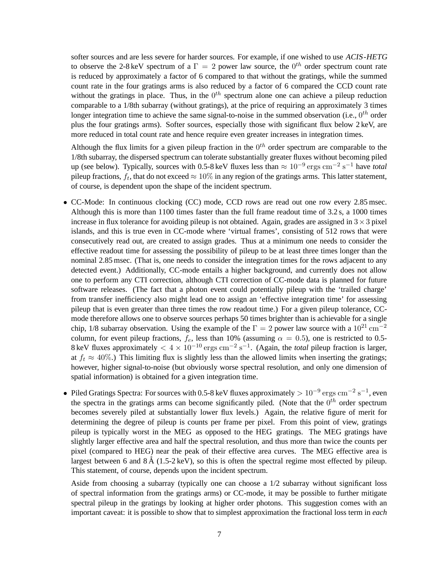softer sources and are less severe for harder sources. For example, if one wished to use ACIS-HETG to observe the 2-8 keV spectrum of a  $\Gamma = 2$  power law source, the  $0^{th}$  order spectrum count rate is reduced by approximately a factor of 6 compared to that without the gratings, while the summed count rate in the four gratings arms is also reduced by a factor of 6 compared the CCD count rate without the gratings in place. Thus, in the  $0^{th}$  spectrum alone one can achieve a pileup reduction comparable to a 1/8th subarray (without gratings), at the price of requiring an approximately 3 times longer integration time to achieve the same signal-to-noise in the summed observation (i.e.,  $0^{th}$  order plus the four gratings arms). Softer sources, especially those with significant flux below 2 keV, are more reduced in total count rate and hence require even greater increases in integration times.

Although the flux limits for a given pileup fraction in the  $0<sup>th</sup>$  order spectrum are comparable to the 1/8th subarray, the dispersed spectrum can tolerate substantially greater fluxes without becoming piled up (see below). Typically, sources with 0.5-8 keV fluxes less than  $\approx 10^{-9}$  ergs cm<sup>-2</sup> s<sup>-1</sup> have *total* pileup fractions,  $f_t$ , that do not exceed  $\approx 10\%$  in any region of the gratings arms. This latter statement, of course, is dependent upon the shape of the incident spectrum.

- CC-Mode: In continuous clocking (CC) mode, CCD rows are read out one row every 2.85 msec. Although this is more than 1100 times faster than the full frame readout time of 3.2 s, a 1000 times increase in flux tolerance for avoiding pileup is not obtained. Again, grades are assigned in  $3 \times 3$  pixel islands, and this is true even in CC-mode where 'virtual frames', consisting of 512 rows that were consecutively read out, are created to assign grades. Thus at a minimum one needs to consider the effective readout time for assessing the possibility of pileup to be at least three times longer than the nominal 2.85 msec. (That is, one needs to consider the integration times for the rows adjacent to any detected event.) Additionally, CC-mode entails a higher background, and currently does not allow one to perform any CTI correction, although CTI correction of CC-mode data is planned for future software releases. (The fact that a photon event could potentially pileup with the 'trailed charge' from transfer inefficiency also might lead one to assign an 'effective integration time' for assessing pileup that is even greater than three times the row readout time.) For a given pileup tolerance, CCmode therefore allows one to observe sources perhaps 50 times brighter than is achievable for a single chip, 1/8 subarray observation. Using the example of the  $\Gamma = 2$  power law source with a  $10^{21}$  cm<sup>-2</sup> column, for event pileup fractions,  $f_e$ , less than 10% (assuming  $\alpha = 0.5$ ), one is restricted to 0.5-8 keV fluxes approximately  $< 4 \times 10^{-10}$  ergs cm<sup>-2</sup> s<sup>-1</sup>. (Again, the *total* pileup fraction is larger, at  $f_t \approx 40\%$ .) This limiting flux is slightly less than the allowed limits when inserting the gratings; however, higher signal-to-noise (but obviously worse spectral resolution, and only one dimension of spatial information) is obtained for a given integration time.
- Piled Gratings Spectra: For sources with 0.5-8 keV fluxes approximately  $> 10^{-9}$  ergs cm<sup>-2</sup> s<sup>-1</sup>, even the spectra in the gratings arms can become significantly piled. (Note that the  $0^{th}$  order spectrum becomes severely piled at substantially lower flux levels.) Again, the relative figure of merit for determining the degree of pileup is counts per frame per pixel. From this point of view, gratings pileup is typically worst in the MEG as opposed to the HEG gratings. The MEG gratings have slightly larger effective area and half the spectral resolution, and thus more than twice the counts per pixel (compared to HEG) near the peak of their effective area curves. The MEG effective area is largest between 6 and  $8 \text{ Å } (1.5\text{-}2 \text{ keV})$ , so this is often the spectral regime most effected by pileup. This statement, of course, depends upon the incident spectrum.

Aside from choosing a subarray (typically one can choose a 1/2 subarray without significant loss of spectral information from the gratings arms) or CC-mode, it may be possible to further mitigate spectral pileup in the gratings by looking at higher order photons. This suggestion comes with an important caveat: it is possible to show that to simplest approximation the fractional loss term in *each*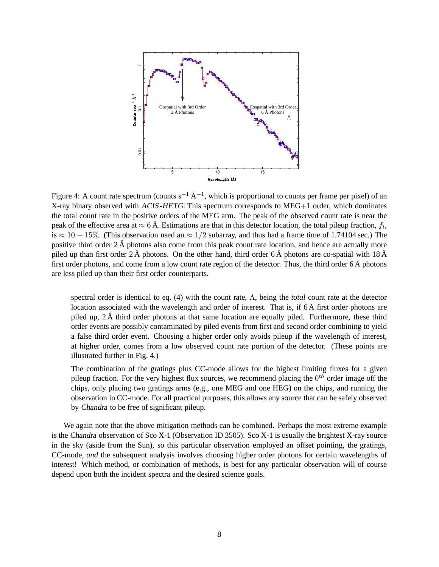

Figure 4: A count rate spectrum (counts  $s^{-1}$   $\AA^{-1}$ , which is proportional to counts per frame per pixel) of an X-ray binary observed with ACIS-HETG. This spectrum corresponds to MEG+1 order, which dominates the total count rate in the positive orders of the MEG arm. The peak of the observed count rate is near the peak of the effective area at  $\approx 6$  Å. Estimations are that in this detector location, the total pileup fraction,  $f_t$ , is  $\approx 10 - 15\%$ . (This observation used an  $\approx 1/2$  subarray, and thus had a frame time of 1.74104 sec.) The positive third order  $2 \text{ Å}$  photons also come from this peak count rate location, and hence are actually more piled up than first order 2 Å photons. On the other hand, third order 6 Å photons are co-spatial with  $18 \text{\AA}$ first order photons, and come from a low count rate region of the detector. Thus, the third order  $6 \text{\AA}$  photons are less piled up than their first order counterparts.

spectral order is identical to eq. (4) with the count rate, Λ, being the *total* count rate at the detector location associated with the wavelength and order of interest. That is, if  $6 \text{\AA}$  first order photons are piled up,  $2 \text{ Å}$  third order photons at that same location are equally piled. Furthermore, these third order events are possibly contaminated by piled events from first and second order combining to yield a false third order event. Choosing a higher order only avoids pileup if the wavelength of interest, at higher order, comes from a low observed count rate portion of the detector. (These points are illustrated further in Fig. 4.)

The combination of the gratings plus CC-mode allows for the highest limiting fluxes for a given pileup fraction. For the very highest flux sources, we recommend placing the  $0^{th}$  order image off the chips, only placing two gratings arms (e.g., one MEG and one HEG) on the chips, and running the observation in CC-mode. For all practical purposes, this allows any source that can be safely observed by Chandra to be free of significant pileup.

We again note that the above mitigation methods can be combined. Perhaps the most extreme example is the Chandra observation of Sco X-1 (Observation ID 3505). Sco X-1 is usually the brightest X-ray source in the sky (aside from the Sun), so this particular observation employed an offset pointing, the gratings, CC-mode, *and* the subsequent analysis involves choosing higher order photons for certain wavelengths of interest! Which method, or combination of methods, is best for any particular observation will of course depend upon both the incident spectra and the desired science goals.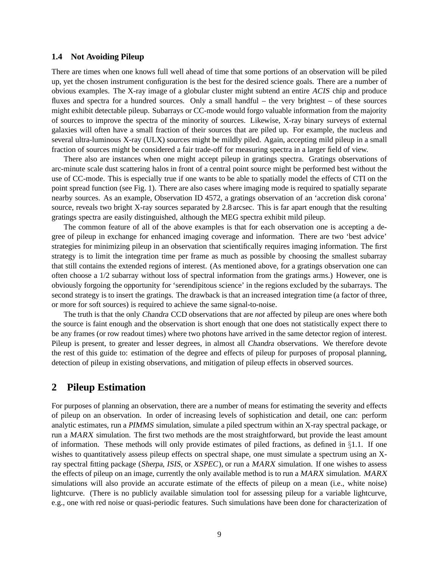#### **1.4 Not Avoiding Pileup**

There are times when one knows full well ahead of time that some portions of an observation will be piled up, yet the chosen instrument configuration is the best for the desired science goals. There are a number of obvious examples. The X-ray image of a globular cluster might subtend an entire ACIS chip and produce fluxes and spectra for a hundred sources. Only a small handful – the very brightest – of these sources might exhibit detectable pileup. Subarrays or CC-mode would forgo valuable information from the majority of sources to improve the spectra of the minority of sources. Likewise, X-ray binary surveys of external galaxies will often have a small fraction of their sources that are piled up. For example, the nucleus and several ultra-luminous X-ray (ULX) sources might be mildly piled. Again, accepting mild pileup in a small fraction of sources might be considered a fair trade-off for measuring spectra in a larger field of view.

There also are instances when one might accept pileup in gratings spectra. Gratings observations of arc-minute scale dust scattering halos in front of a central point source might be performed best without the use of CC-mode. This is especially true if one wants to be able to spatially model the effects of CTI on the point spread function (see Fig. 1). There are also cases where imaging mode is required to spatially separate nearby sources. As an example, Observation ID 4572, a gratings observation of an 'accretion disk corona' source, reveals two bright X-ray sources separated by 2.8 arcsec. This is far apart enough that the resulting gratings spectra are easily distinguished, although the MEG spectra exhibit mild pileup.

The common feature of all of the above examples is that for each observation one is accepting a degree of pileup in exchange for enhanced imaging coverage and information. There are two 'best advice' strategies for minimizing pileup in an observation that scientifically requires imaging information. The first strategy is to limit the integration time per frame as much as possible by choosing the smallest subarray that still contains the extended regions of interest. (As mentioned above, for a gratings observation one can often choose a 1/2 subarray without loss of spectral information from the gratings arms.) However, one is obviously forgoing the opportunity for 'serendipitous science' in the regions excluded by the subarrays. The second strategy is to insert the gratings. The drawback is that an increased integration time (a factor of three, or more for soft sources) is required to achieve the same signal-to-noise.

The truth is that the only Chandra CCD observations that are *not* affected by pileup are ones where both the source is faint enough and the observation is short enough that one does not statistically expect there to be any frames (or row readout times) where two photons have arrived in the same detector region of interest. Pileup is present, to greater and lesser degrees, in almost all Chandra observations. We therefore devote the rest of this guide to: estimation of the degree and effects of pileup for purposes of proposal planning, detection of pileup in existing observations, and mitigation of pileup effects in observed sources.

### **2 Pileup Estimation**

For purposes of planning an observation, there are a number of means for estimating the severity and effects of pileup on an observation. In order of increasing levels of sophistication and detail, one can: perform analytic estimates, run a PIMMS simulation, simulate a piled spectrum within an X-ray spectral package, or run a MARX simulation. The first two methods are the most straightforward, but provide the least amount of information. These methods will only provide estimates of piled fractions, as defined in §1.1. If one wishes to quantitatively assess pileup effects on spectral shape, one must simulate a spectrum using an Xray spectral fitting package (Sherpa, ISIS, or XSPEC), or run a MARX simulation. If one wishes to assess the effects of pileup on an image, currently the only available method is to run a MARX simulation. MARX simulations will also provide an accurate estimate of the effects of pileup on a mean (i.e., white noise) lightcurve. (There is no publicly available simulation tool for assessing pileup for a variable lightcurve, e.g., one with red noise or quasi-periodic features. Such simulations have been done for characterization of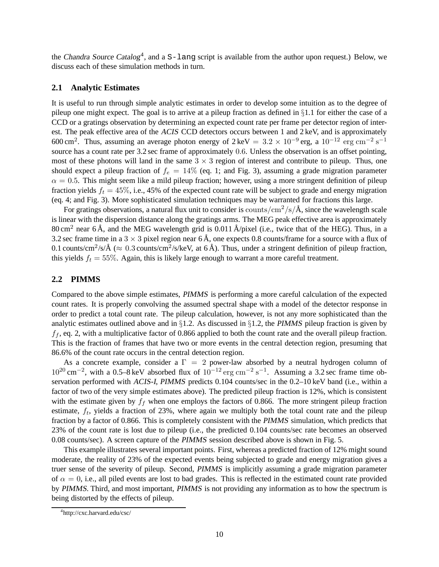the Chandra Source Catalog<sup>4</sup>, and a  $S$ -lang script is available from the author upon request.) Below, we discuss each of these simulation methods in turn.

### **2.1 Analytic Estimates**

It is useful to run through simple analytic estimates in order to develop some intuition as to the degree of pileup one might expect. The goal is to arrive at a pileup fraction as defined in  $\S1.1$  for either the case of a CCD or a gratings observation by determining an expected count rate per frame per detector region of interest. The peak effective area of the ACIS CCD detectors occurs between 1 and 2 keV, and is approximately 600 cm<sup>2</sup>. Thus, assuming an average photon energy of  $2 \text{ keV} = 3.2 \times 10^{-9} \text{ erg}$ , a  $10^{-12} \text{ erg cm}^{-2} \text{ s}^{-1}$ source has a count rate per 3.2 sec frame of approximately 0.6. Unless the observation is an offset pointing, most of these photons will land in the same  $3 \times 3$  region of interest and contribute to pileup. Thus, one should expect a pileup fraction of  $f_e = 14\%$  (eq. 1; and Fig. 3), assuming a grade migration parameter  $\alpha = 0.5$ . This might seem like a mild pileup fraction; however, using a more stringent definition of pileup fraction yields  $f_t = 45\%$ , i.e., 45% of the expected count rate will be subject to grade and energy migration (eq. 4; and Fig. 3). More sophisticated simulation techniques may be warranted for fractions this large.

For gratings observations, a natural flux unit to consider is counts/ $\frac{\text{cm}^2}{\text{s}}/\text{Å}$ , since the wavelength scale is linear with the dispersion distance along the gratings arms. The MEG peak effective area is approximately 80 cm<sup>2</sup> near 6 Å, and the MEG wavelength grid is 0.011 Å/pixel (i.e., twice that of the HEG). Thus, in a 3.2 sec frame time in a  $3 \times 3$  pixel region near 6 Å, one expects 0.8 counts/frame for a source with a flux of 0.1 counts/cm<sup>2</sup>/s/Å ( $\approx 0.3$  counts/cm<sup>2</sup>/s/keV, at 6 Å). Thus, under a stringent definition of pileup fraction, this yields  $f_t = 55\%$ . Again, this is likely large enough to warrant a more careful treatment.

### **2.2 PIMMS**

Compared to the above simple estimates, PIMMS is performing a more careful calculation of the expected count rates. It is properly convolving the assumed spectral shape with a model of the detector response in order to predict a total count rate. The pileup calculation, however, is not any more sophisticated than the analytic estimates outlined above and in §1.2. As discussed in §1.2, the PIMMS pileup fraction is given by  $f_f$ , eq. 2, with a multiplicative factor of 0.866 applied to both the count rate and the overall pileup fraction. This is the fraction of frames that have two or more events in the central detection region, presuming that 86.6% of the count rate occurs in the central detection region.

As a concrete example, consider a  $\Gamma = 2$  power-law absorbed by a neutral hydrogen column of  $10^{20}$  cm<sup>-2</sup>, with a 0.5–8 keV absorbed flux of  $10^{-12}$  erg cm<sup>-2</sup> s<sup>-1</sup>. Assuming a 3.2 sec frame time observation performed with ACIS-I, PIMMS predicts 0.104 counts/sec in the 0.2–10 keV band (i.e., within a factor of two of the very simple estimates above). The predicted pileup fraction is 12%, which is consistent with the estimate given by  $f_f$  when one employs the factors of 0.866. The more stringent pileup fraction estimate,  $f_t$ , yields a fraction of 23%, where again we multiply both the total count rate and the pileup fraction by a factor of 0.866. This is completely consistent with the PIMMS simulation, which predicts that 23% of the count rate is lost due to pileup (i.e., the predicted 0.104 counts/sec rate becomes an observed 0.08 counts/sec). A screen capture of the PIMMS session described above is shown in Fig. 5.

This example illustrates several important points. First, whereas a predicted fraction of 12% might sound moderate, the reality of 23% of the expected events being subjected to grade and energy migration gives a truer sense of the severity of pileup. Second, PIMMS is implicitly assuming a grade migration parameter of  $\alpha = 0$ , i.e., all piled events are lost to bad grades. This is reflected in the estimated count rate provided by PIMMS. Third, and most important, PIMMS is not providing any information as to how the spectrum is being distorted by the effects of pileup.

<sup>4</sup> http://cxc.harvard.edu/csc/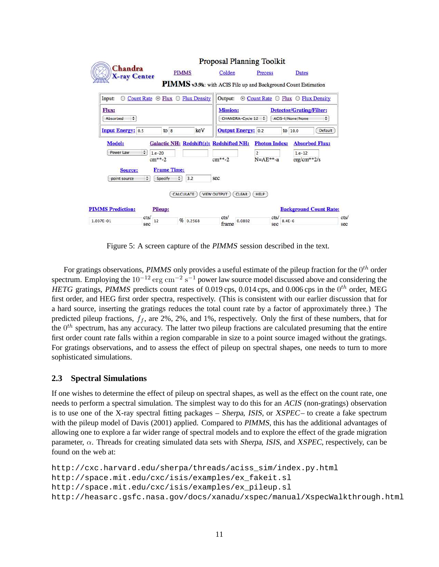

Figure 5: A screen capture of the PIMMS session described in the text.

For gratings observations, PIMMS only provides a useful estimate of the pileup fraction for the  $0^{th}$  order spectrum. Employing the  $10^{-12}$  erg cm<sup>-2</sup> s<sup>-1</sup> power law source model discussed above and considering the HETG gratings, PIMMS predicts count rates of 0.019 cps, 0.014 cps, and 0.006 cps in the  $0^{th}$  order, MEG first order, and HEG first order spectra, respectively. (This is consistent with our earlier discussion that for a hard source, inserting the gratings reduces the total count rate by a factor of approximately three.) The predicted pileup fractions,  $f_f$ , are 2%, 2%, and 1%, respectively. Only the first of these numbers, that for the  $0^{th}$  spectrum, has any accuracy. The latter two pileup fractions are calculated presuming that the entire first order count rate falls within a region comparable in size to a point source imaged without the gratings. For gratings observations, and to assess the effect of pileup on spectral shapes, one needs to turn to more sophisticated simulations.

### **2.3 Spectral Simulations**

If one wishes to determine the effect of pileup on spectral shapes, as well as the effect on the count rate, one needs to perform a spectral simulation. The simplest way to do this for an ACIS (non-gratings) observation is to use one of the X-ray spectral fitting packages – Sherpa, ISIS, or XSPEC– to create a fake spectrum with the pileup model of Davis (2001) applied. Compared to PIMMS, this has the additional advantages of allowing one to explore a far wider range of spectral models and to explore the effect of the grade migration parameter,  $\alpha$ . Threads for creating simulated data sets with *Sherpa*, *ISIS*, and *XSPEC*, respectively, can be found on the web at:

```
http://cxc.harvard.edu/sherpa/threads/aciss_sim/index.py.html
http://space.mit.edu/cxc/isis/examples/ex_fakeit.sl
http://space.mit.edu/cxc/isis/examples/ex_pileup.sl
http://heasarc.gsfc.nasa.gov/docs/xanadu/xspec/manual/XspecWalkthrough.html
```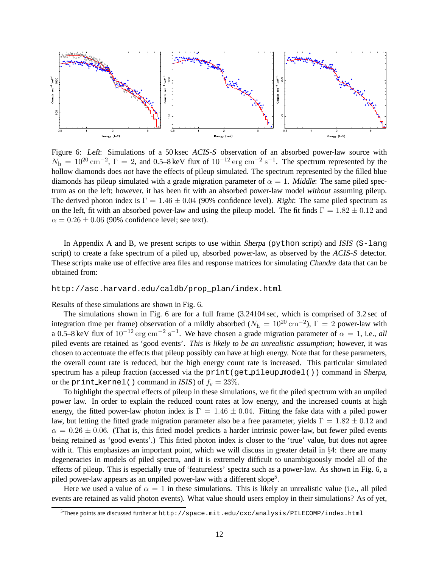

Figure 6: Left: Simulations of a 50 ksec ACIS-S observation of an absorbed power-law source with  $N_h = 10^{20}$  cm<sup>-2</sup>,  $\Gamma = 2$ , and 0.5–8 keV flux of  $10^{-12}$  erg cm<sup>-2</sup> s<sup>-1</sup>. The spectrum represented by the hollow diamonds does *not* have the effects of pileup simulated. The spectrum represented by the filled blue diamonds has pileup simulated with a grade migration parameter of  $\alpha = 1$ . Middle: The same piled spectrum as on the left; however, it has been fit with an absorbed power-law model *without* assuming pileup. The derived photon index is  $\Gamma = 1.46 \pm 0.04$  (90% confidence level). Right: The same piled spectrum as on the left, fit with an absorbed power-law and using the pileup model. The fit finds  $\Gamma = 1.82 \pm 0.12$  and  $\alpha = 0.26 \pm 0.06$  (90% confidence level; see text).

In Appendix A and B, we present scripts to use within Sherpa (python script) and ISIS (S-lang script) to create a fake spectrum of a piled up, absorbed power-law, as observed by the ACIS-S detector. These scripts make use of effective area files and response matrices for simulating Chandra data that can be obtained from:

#### http://asc.harvard.edu/caldb/prop\_plan/index.html

Results of these simulations are shown in Fig. 6.

The simulations shown in Fig. 6 are for a full frame (3.24104 sec, which is comprised of 3.2 sec of integration time per frame) observation of a mildly absorbed ( $N_h = 10^{20} \text{ cm}^{-2}$ ),  $\Gamma = 2$  power-law with a 0.5–8 keV flux of  $10^{-12}$  erg cm<sup>-2</sup> s<sup>-1</sup>. We have chosen a grade migration parameter of  $\alpha = 1$ , i.e., *all* piled events are retained as 'good events'. *This is likely to be an unrealistic assumption*; however, it was chosen to accentuate the effects that pileup possibly can have at high energy. Note that for these parameters, the overall count rate is reduced, but the high energy count rate is increased. This particular simulated spectrum has a pileup fraction (accessed via the print (get pileup model()) command in Sherpa, or the print kernel() command in ISIS) of  $f_e = 23\%$ .

To highlight the spectral effects of pileup in these simulations, we fit the piled spectrum with an unpiled power law. In order to explain the reduced count rates at low energy, and the increased counts at high energy, the fitted power-law photon index is  $\Gamma = 1.46 \pm 0.04$ . Fitting the fake data with a piled power law, but letting the fitted grade migration parameter also be a free parameter, yields  $\Gamma = 1.82 \pm 0.12$  and  $\alpha = 0.26 \pm 0.06$ . (That is, this fitted model predicts a harder intrinsic power-law, but fewer piled events being retained as 'good events'.) This fitted photon index is closer to the 'true' value, but does not agree with it. This emphasizes an important point, which we will discuss in greater detail in §4: there are many degeneracies in models of piled spectra, and it is extremely difficult to unambiguously model all of the effects of pileup. This is especially true of 'featureless' spectra such as a power-law. As shown in Fig. 6, a piled power-law appears as an unpiled power-law with a different slope<sup>5</sup>.

Here we used a value of  $\alpha = 1$  in these simulations. This is likely an unrealistic value (i.e., all piled events are retained as valid photon events). What value should users employ in their simulations? As of yet,

 $^5$ These points are discussed further at http://space.mit.edu/cxc/analysis/PILECOMP/index.html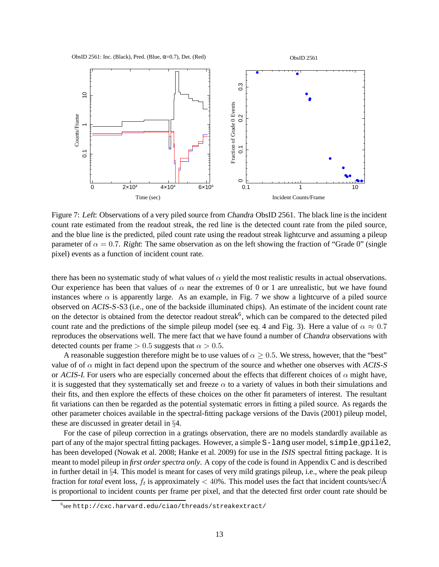



Figure 7: Left: Observations of a very piled source from Chandra ObsID 2561. The black line is the incident count rate estimated from the readout streak, the red line is the detected count rate from the piled source, and the blue line is the predicted, piled count rate using the readout streak lightcurve and assuming a pileup parameter of  $\alpha = 0.7$ . Right: The same observation as on the left showing the fraction of "Grade 0" (single pixel) events as a function of incident count rate.

there has been no systematic study of what values of  $\alpha$  yield the most realistic results in actual observations. Our experience has been that values of  $\alpha$  near the extremes of 0 or 1 are unrealistic, but we have found instances where  $\alpha$  is apparently large. As an example, in Fig. 7 we show a lightcurve of a piled source observed on ACIS-S-S3 (i.e., one of the backside illuminated chips). An estimate of the incident count rate on the detector is obtained from the detector readout streak<sup>6</sup>, which can be compared to the detected piled count rate and the predictions of the simple pileup model (see eq. 4 and Fig. 3). Here a value of  $\alpha \approx 0.7$ reproduces the observations well. The mere fact that we have found a number of Chandra observations with detected counts per frame  $> 0.5$  suggests that  $\alpha > 0.5$ .

A reasonable suggestion therefore might be to use values of  $\alpha \geq 0.5$ . We stress, however, that the "best" value of of  $\alpha$  might in fact depend upon the spectrum of the source and whether one observes with ACIS-S or ACIS-I. For users who are especially concerned about the effects that different choices of  $\alpha$  might have, it is suggested that they systematically set and freeze  $\alpha$  to a variety of values in both their simulations and their fits, and then explore the effects of these choices on the other fit parameters of interest. The resultant fit variations can then be regarded as the potential systematic errors in fitting a piled source. As regards the other parameter choices available in the spectral-fitting package versions of the Davis (2001) pileup model, these are discussed in greater detail in §4.

For the case of pileup correction in a gratings observation, there are no models standardly available as part of any of the major spectral fitting packages. However, a simple S-lang user model, simple gpile2, has been developed (Nowak et al. 2008; Hanke et al. 2009) for use in the *ISIS* spectral fitting package. It is meant to model pileup in *first order spectra only*. A copy of the code is found in Appendix C and is described in further detail in §4. This model is meant for cases of very mild gratings pileup, i.e., where the peak pileup fraction for *total* event loss,  $f_t$  is approximately  $<$  40%. This model uses the fact that incident counts/sec/ $\AA$ is proportional to incident counts per frame per pixel, and that the detected first order count rate should be

<sup>6</sup> see http://cxc.harvard.edu/ciao/threads/streakextract/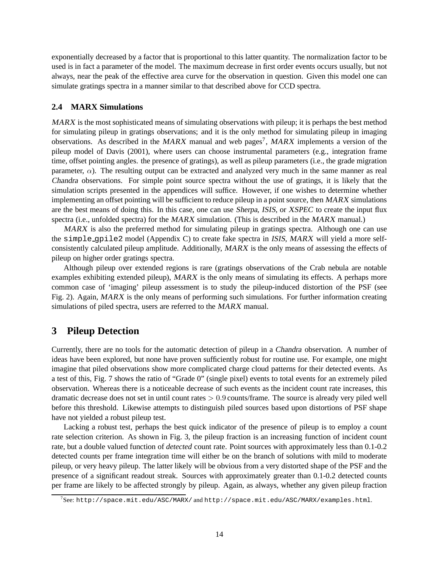exponentially decreased by a factor that is proportional to this latter quantity. The normalization factor to be used is in fact a parameter of the model. The maximum decrease in first order events occurs usually, but not always, near the peak of the effective area curve for the observation in question. Given this model one can simulate gratings spectra in a manner similar to that described above for CCD spectra.

#### **2.4 MARX Simulations**

MARX is the most sophisticated means of simulating observations with pileup; it is perhaps the best method for simulating pileup in gratings observations; and it is the only method for simulating pileup in imaging observations. As described in the MARX manual and web pages<sup>7</sup>, MARX implements a version of the pileup model of Davis (2001), where users can choose instrumental parameters (e.g., integration frame time, offset pointing angles. the presence of gratings), as well as pileup parameters (i.e., the grade migration parameter,  $\alpha$ ). The resulting output can be extracted and analyzed very much in the same manner as real Chandra observations. For simple point source spectra without the use of gratings, it is likely that the simulation scripts presented in the appendices will suffice. However, if one wishes to determine whether implementing an offset pointing will be sufficient to reduce pileup in a point source, then MARX simulations are the best means of doing this. In this case, one can use Sherpa, ISIS, or XSPEC to create the input flux spectra (i.e., unfolded spectra) for the MARX simulation. (This is described in the MARX manual.)

 $MARX$  is also the preferred method for simulating pileup in gratings spectra. Although one can use the simple gpile2 model (Appendix C) to create fake spectra in ISIS, MARX will yield a more selfconsistently calculated pileup amplitude. Additionally, MARX is the only means of assessing the effects of pileup on higher order gratings spectra.

Although pileup over extended regions is rare (gratings observations of the Crab nebula are notable examples exhibiting extended pileup), MARX is the only means of simulating its effects. A perhaps more common case of 'imaging' pileup assessment is to study the pileup-induced distortion of the PSF (see Fig. 2). Again, MARX is the only means of performing such simulations. For further information creating simulations of piled spectra, users are referred to the MARX manual.

## **3 Pileup Detection**

Currently, there are no tools for the automatic detection of pileup in a Chandra observation. A number of ideas have been explored, but none have proven sufficiently robust for routine use. For example, one might imagine that piled observations show more complicated charge cloud patterns for their detected events. As a test of this, Fig. 7 shows the ratio of "Grade 0" (single pixel) events to total events for an extremely piled observation. Whereas there is a noticeable decrease of such events as the incident count rate increases, this dramatic decrease does not set in until count rates > 0.9 counts/frame. The source is already very piled well before this threshold. Likewise attempts to distinguish piled sources based upon distortions of PSF shape have not yielded a robust pileup test.

Lacking a robust test, perhaps the best quick indicator of the presence of pileup is to employ a count rate selection criterion. As shown in Fig. 3, the pileup fraction is an increasing function of incident count rate, but a double valued function of *detected* count rate. Point sources with approximately less than 0.1-0.2 detected counts per frame integration time will either be on the branch of solutions with mild to moderate pileup, or very heavy pileup. The latter likely will be obvious from a very distorted shape of the PSF and the presence of a significant readout streak. Sources with approximately greater than 0.1-0.2 detected counts per frame are likely to be affected strongly by pileup. Again, as always, whether any given pileup fraction

<sup>7</sup> See: http://space.mit.edu/ASC/MARX/ and http://space.mit.edu/ASC/MARX/examples.html.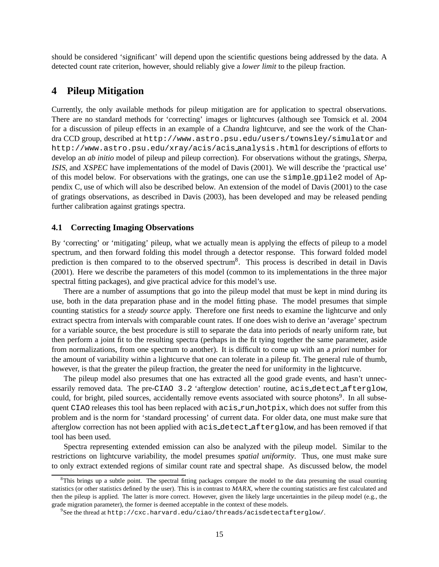should be considered 'significant' will depend upon the scientific questions being addressed by the data. A detected count rate criterion, however, should reliably give a *lower limit* to the pileup fraction.

### **4 Pileup Mitigation**

Currently, the only available methods for pileup mitigation are for application to spectral observations. There are no standard methods for 'correcting' images or lightcurves (although see Tomsick et al. 2004 for a discussion of pileup effects in an example of a Chandra lightcurve, and see the work of the Chandra CCD group, described at http://www.astro.psu.edu/users/townsley/simulator and http://www.astro.psu.edu/xray/acis/acis analysis.html for descriptions of efforts to develop an *ab initio* model of pileup and pileup correction). For observations without the gratings, Sherpa, ISIS, and XSPEC have implementations of the model of Davis (2001). We will describe the 'practical use' of this model below. For observations with the gratings, one can use the simple gpile2 model of Appendix C, use of which will also be described below. An extension of the model of Davis (2001) to the case of gratings observations, as described in Davis (2003), has been developed and may be released pending further calibration against gratings spectra.

#### **4.1 Correcting Imaging Observations**

By 'correcting' or 'mitigating' pileup, what we actually mean is applying the effects of pileup to a model spectrum, and then forward folding this model through a detector response. This forward folded model prediction is then compared to to the observed spectrum<sup>8</sup>. This process is described in detail in Davis (2001). Here we describe the parameters of this model (common to its implementations in the three major spectral fitting packages), and give practical advice for this model's use.

There are a number of assumptions that go into the pileup model that must be kept in mind during its use, both in the data preparation phase and in the model fitting phase. The model presumes that simple counting statistics for a *steady source* apply. Therefore one first needs to examine the lightcurve and only extract spectra from intervals with comparable count rates. If one does wish to derive an 'average' spectrum for a variable source, the best procedure is still to separate the data into periods of nearly uniform rate, but then perform a joint fit to the resulting spectra (perhaps in the fit tying together the same parameter, aside from normalizations, from one spectrum to another). It is difficult to come up with an <sup>a</sup> priori number for the amount of variability within a lightcurve that one can tolerate in a pileup fit. The general rule of thumb, however, is that the greater the pileup fraction, the greater the need for uniformity in the lightcurve.

The pileup model also presumes that one has extracted all the good grade events, and hasn't unnecessarily removed data. The pre-CIAO 3.2 'afterglow detection' routine, acis detect afterglow, could, for bright, piled sources, accidentally remove events associated with source photons<sup>9</sup>. In all subsequent CIAO releases this tool has been replaced with  $acis$  run hotpix, which does not suffer from this problem and is the norm for 'standard processing' of current data. For older data, one must make sure that afterglow correction has not been applied with acis detect afterglow, and has been removed if that tool has been used.

Spectra representing extended emission can also be analyzed with the pileup model. Similar to the restrictions on lightcurve variability, the model presumes *spatial uniformity*. Thus, one must make sure to only extract extended regions of similar count rate and spectral shape. As discussed below, the model

 ${}^8$ This brings up a subtle point. The spectral fitting packages compare the model to the data presuming the usual counting statistics (or other statistics defined by the user). This is in contrast to MARX, where the counting statistics are first calculated and then the pileup is applied. The latter is more correct. However, given the likely large uncertainties in the pileup model (e.g., the grade migration parameter), the former is deemed acceptable in the context of these models.

 $^{9}$ See the thread at http://cxc.harvard.edu/ciao/threads/acisdetectafterglow/.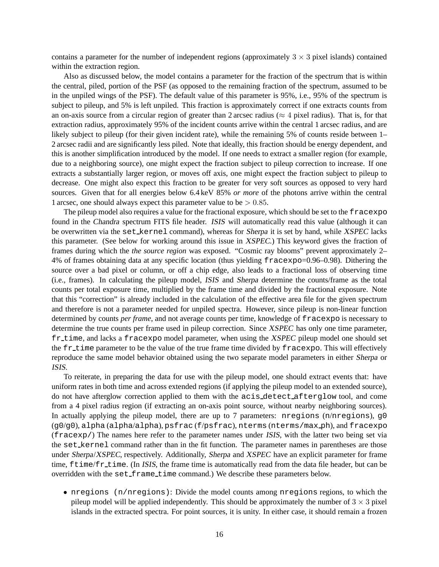contains a parameter for the number of independent regions (approximately  $3 \times 3$  pixel islands) contained within the extraction region.

Also as discussed below, the model contains a parameter for the fraction of the spectrum that is within the central, piled, portion of the PSF (as opposed to the remaining fraction of the spectrum, assumed to be in the unpiled wings of the PSF). The default value of this parameter is 95%, i.e., 95% of the spectrum is subject to pileup, and 5% is left unpiled. This fraction is approximately correct if one extracts counts from an on-axis source from a circular region of greater than 2 arcsec radius ( $\approx$  4 pixel radius). That is, for that extraction radius, approximately 95% of the incident counts arrive within the central 1 arcsec radius, and are likely subject to pileup (for their given incident rate), while the remaining 5% of counts reside between 1– 2 arcsec radii and are significantly less piled. Note that ideally, this fraction should be energy dependent, and this is another simplification introduced by the model. If one needs to extract a smaller region (for example, due to a neighboring source), one might expect the fraction subject to pileup correction to increase. If one extracts a substantially larger region, or moves off axis, one might expect the fraction subject to pileup to decrease. One might also expect this fraction to be greater for very soft sources as opposed to very hard sources. Given that for all energies below 6.4 keV 85% *or more* of the photons arrive within the central 1 arcsec, one should always expect this parameter value to be  $> 0.85$ .

The pileup model also requires a value for the fractional exposure, which should be set to the fracexpo found in the Chandra spectrum FITS file header. ISIS will automatically read this value (although it can be overwritten via the set kernel command), whereas for Sherpa it is set by hand, while XSPEC lacks this parameter. (See below for working around this issue in XSPEC.) This keyword gives the fraction of frames during which the *the source region* was exposed. "Cosmic ray blooms" prevent approximately 2– 4% of frames obtaining data at any specific location (thus yielding fracexpo=0.96–0.98). Dithering the source over a bad pixel or column, or off a chip edge, also leads to a fractional loss of observing time (i.e., frames). In calculating the pileup model, ISIS and Sherpa determine the counts/frame as the total counts per total exposure time, multiplied by the frame time and divided by the fractional exposure. Note that this "correction" is already included in the calculation of the effective area file for the given spectrum and therefore is not a parameter needed for unpiled spectra. However, since pileup is non-linear function determined by counts *per frame*, and not average counts per time, knowledge of fracexpo is necessary to determine the true counts per frame used in pileup correction. Since XSPEC has only one time parameter, fr time, and lacks a fracexpo model parameter, when using the XSPEC pileup model one should set the  $fr$ -time parameter to be the value of the true frame time divided by  $fr$ acexpo. This will effectively reproduce the same model behavior obtained using the two separate model parameters in either Sherpa or ISIS.

To reiterate, in preparing the data for use with the pileup model, one should extract events that: have uniform rates in both time and across extended regions (if applying the pileup model to an extended source), do not have afterglow correction applied to them with the acis detect afterglow tool, and come from a 4 pixel radius region (if extracting an on-axis point source, without nearby neighboring sources). In actually applying the pileup model, there are up to 7 parameters:  $n$ regions (n/nregions), g0 (g0/g0), alpha (alpha/alpha), psfrac (f/psfrac), nterms (nterms/max ph), and fracexpo (fracexp/) The names here refer to the parameter names under ISIS, with the latter two being set via the set kernel command rather than in the fit function. The parameter names in parentheses are those under Sherpa/XSPEC, respectively. Additionally, Sherpa and XSPEC have an explicit parameter for frame time, ftime/fr\_time. (In ISIS, the frame time is automatically read from the data file header, but can be overridden with the set\_frame\_time command.) We describe these parameters below.

• nregions (n/nregions): Divide the model counts among nregions regions, to which the pileup model will be applied independently. This should be approximately the number of  $3 \times 3$  pixel islands in the extracted spectra. For point sources, it is unity. In either case, it should remain a frozen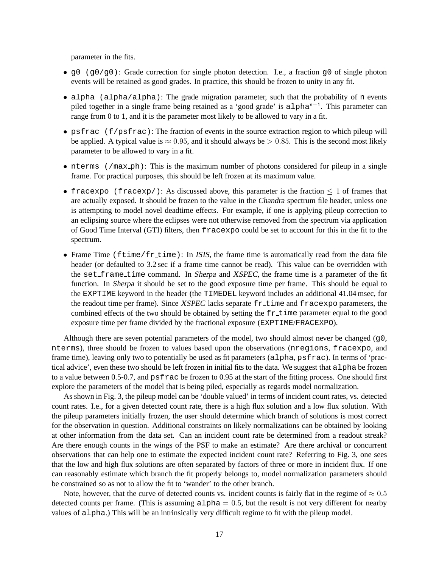parameter in the fits.

- $q0$  ( $q0/q0$ ): Grade correction for single photon detection. I.e., a fraction q0 of single photon events will be retained as good grades. In practice, this should be frozen to unity in any fit.
- alpha (alpha/alpha): The grade migration parameter, such that the probability of n events piled together in a single frame being retained as a 'good grade' is alpha<sup>n-1</sup>. This parameter can range from 0 to 1, and it is the parameter most likely to be allowed to vary in a fit.
- psfrac (f/psfrac): The fraction of events in the source extraction region to which pileup will be applied. A typical value is  $\approx 0.95$ , and it should always be  $> 0.85$ . This is the second most likely parameter to be allowed to vary in a fit.
- nterms (/max\_ph): This is the maximum number of photons considered for pileup in a single frame. For practical purposes, this should be left frozen at its maximum value.
- fracexpo (fracexp): As discussed above, this parameter is the fraction  $\leq 1$  of frames that are actually exposed. It should be frozen to the value in the Chandra spectrum file header, unless one is attempting to model novel deadtime effects. For example, if one is applying pileup correction to an eclipsing source where the eclipses were not otherwise removed from the spectrum via application of Good Time Interval (GTI) filters, then fracexpo could be set to account for this in the fit to the spectrum.
- Frame Time  $(ftime/fr_time)$ : In ISIS, the frame time is automatically read from the data file header (or defaulted to 3.2 sec if a frame time cannot be read). This value can be overridden with the set frame time command. In Sherpa and XSPEC, the frame time is a parameter of the fit function. In Sherpa it should be set to the good exposure time per frame. This should be equal to the EXPTIME keyword in the header (the TIMEDEL keyword includes an additional 41.04 msec, for the readout time per frame). Since XSPEC lacks separate fr\_time and fracexpo parameters, the combined effects of the two should be obtained by setting the  $f_{r,t}$  time parameter equal to the good exposure time per frame divided by the fractional exposure (EXPTIME/FRACEXPO).

Although there are seven potential parameters of the model, two should almost never be changed (g0, nterms), three should be frozen to values based upon the observations (nregions, fracexpo, and frame time), leaving only two to potentially be used as fit parameters (alpha, psfrac). In terms of 'practical advice', even these two should be left frozen in initial fits to the data. We suggest that alpha be frozen to a value between 0.5-0.7, and psfrac be frozen to 0.95 at the start of the fitting process. One should first explore the parameters of the model that is being piled, especially as regards model normalization.

As shown in Fig. 3, the pileup model can be 'double valued' in terms of incident count rates, vs. detected count rates. I.e., for a given detected count rate, there is a high flux solution and a low flux solution. With the pileup parameters initially frozen, the user should determine which branch of solutions is most correct for the observation in question. Additional constraints on likely normalizations can be obtained by looking at other information from the data set. Can an incident count rate be determined from a readout streak? Are there enough counts in the wings of the PSF to make an estimate? Are there archival or concurrent observations that can help one to estimate the expected incident count rate? Referring to Fig. 3, one sees that the low and high flux solutions are often separated by factors of three or more in incident flux. If one can reasonably estimate which branch the fit properly belongs to, model normalization parameters should be constrained so as not to allow the fit to 'wander' to the other branch.

Note, however, that the curve of detected counts vs. incident counts is fairly flat in the regime of  $\approx 0.5$ detected counts per frame. (This is assuming  $a1pha = 0.5$ , but the result is not very different for nearby values of alpha.) This will be an intrinsically very difficult regime to fit with the pileup model.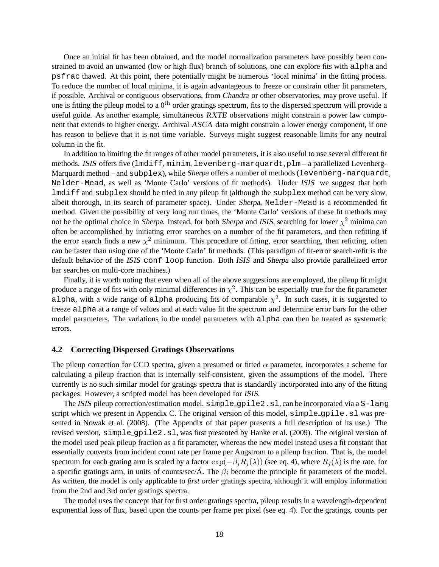Once an initial fit has been obtained, and the model normalization parameters have possibly been constrained to avoid an unwanted (low or high flux) branch of solutions, one can explore fits with alpha and psfrac thawed. At this point, there potentially might be numerous 'local minima' in the fitting process. To reduce the number of local minima, it is again advantageous to freeze or constrain other fit parameters, if possible. Archival or contiguous observations, from Chandra or other observatories, may prove useful. If one is fitting the pileup model to a  $0<sup>th</sup>$  order gratings spectrum, fits to the dispersed spectrum will provide a useful guide. As another example, simultaneous RXTE observations might constrain a power law component that extends to higher energy. Archival ASCA data might constrain a lower energy component, if one has reason to believe that it is not time variable. Surveys might suggest reasonable limits for any neutral column in the fit.

In addition to limiting the fit ranges of other model parameters, it is also useful to use several different fit methods. ISIS offers five (lmdiff, minim, levenberg-marquardt, plm – a parallelized Levenberg-Marquardt method – and subplex), while Sherpa offers a number of methods (levenberg-marquardt, Nelder-Mead, as well as 'Monte Carlo' versions of fit methods). Under ISIS we suggest that both lmdiff and subplex should be tried in any pileup fit (although the subplex method can be very slow, albeit thorough, in its search of parameter space). Under Sherpa, Nelder-Mead is a recommended fit method. Given the possibility of very long run times, the 'Monte Carlo' versions of these fit methods may not be the optimal choice in Sherpa. Instead, for both Sherpa and ISIS, searching for lower  $\chi^2$  minima can often be accomplished by initiating error searches on a number of the fit parameters, and then refitting if the error search finds a new  $\chi^2$  minimum. This procedure of fitting, error searching, then refitting, often can be faster than using one of the 'Monte Carlo' fit methods. (This paradigm of fit-error search-refit is the default behavior of the ISIS conf-loop function. Both ISIS and Sherpa also provide parallelized error bar searches on multi-core machines.)

Finally, it is worth noting that even when all of the above suggestions are employed, the pileup fit might produce a range of fits with only minimal differences in  $\chi^2$ . This can be especially true for the fit parameter alpha, with a wide range of alpha producing fits of comparable  $\chi^2$ . In such cases, it is suggested to freeze alpha at a range of values and at each value fit the spectrum and determine error bars for the other model parameters. The variations in the model parameters with alpha can then be treated as systematic errors.

#### **4.2 Correcting Dispersed Gratings Observations**

The pileup correction for CCD spectra, given a presumed or fitted  $\alpha$  parameter, incorporates a scheme for calculating a pileup fraction that is internally self-consistent, given the assumptions of the model. There currently is no such similar model for gratings spectra that is standardly incorporated into any of the fitting packages. However, a scripted model has been developed for ISIS.

The ISIS pileup correction/estimation model, simple gpile2.sl, can be incorporated via a S-lang script which we present in Appendix C. The original version of this model, simple gpile.sl was presented in Nowak et al. (2008). (The Appendix of that paper presents a full description of its use.) The revised version, simple gpile2.sl, was first presented by Hanke et al. (2009). The original version of the model used peak pileup fraction as a fit parameter, whereas the new model instead uses a fit constant that essentially converts from incident count rate per frame per Angstrom to a pileup fraction. That is, the model spectrum for each grating arm is scaled by a factor  $\exp(-\beta_i R_i(\lambda))$  (see eq. 4), where  $R_i(\lambda)$  is the rate, for a specific gratings arm, in units of counts/sec/ $\hat{A}$ . The  $\beta_i$  become the principle fit parameters of the model. As written, the model is only applicable to *first order* gratings spectra, although it will employ information from the 2nd and 3rd order gratings spectra.

The model uses the concept that for first order gratings spectra, pileup results in a wavelength-dependent exponential loss of flux, based upon the counts per frame per pixel (see eq. 4). For the gratings, counts per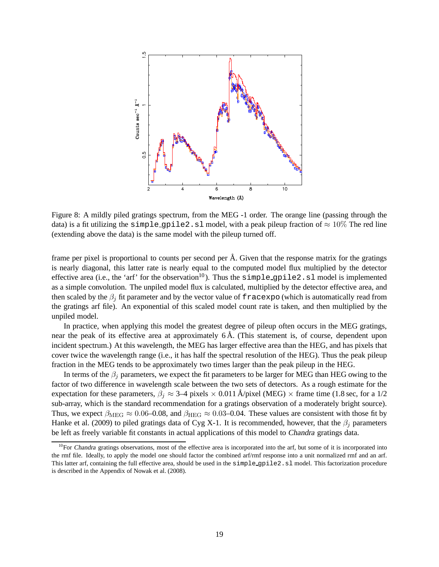

Figure 8: A mildly piled gratings spectrum, from the MEG -1 order. The orange line (passing through the data) is a fit utilizing the simple gpile2.sl model, with a peak pileup fraction of  $\approx 10\%$  The red line (extending above the data) is the same model with the pileup turned off.

frame per pixel is proportional to counts per second per  $\AA$ . Given that the response matrix for the gratings is nearly diagonal, this latter rate is nearly equal to the computed model flux multiplied by the detector effective area (i.e., the 'arf' for the observation<sup>10</sup>). Thus the  $\sin\theta$  equal equal equal is implemented as a simple convolution. The unpiled model flux is calculated, multiplied by the detector effective area, and then scaled by the  $\beta_i$  fit parameter and by the vector value of fracexpo (which is automatically read from the gratings arf file). An exponential of this scaled model count rate is taken, and then multiplied by the unpiled model.

In practice, when applying this model the greatest degree of pileup often occurs in the MEG gratings, near the peak of its effective area at approximately  $6 \text{\AA}$ . (This statement is, of course, dependent upon incident spectrum.) At this wavelength, the MEG has larger effective area than the HEG, and has pixels that cover twice the wavelength range (i.e., it has half the spectral resolution of the HEG). Thus the peak pileup fraction in the MEG tends to be approximately two times larger than the peak pileup in the HEG.

In terms of the  $\beta_i$  parameters, we expect the fit parameters to be larger for MEG than HEG owing to the factor of two difference in wavelength scale between the two sets of detectors. As a rough estimate for the expectation for these parameters,  $\beta_i \approx 3-4$  pixels  $\times 0.011$  Å/pixel (MEG)  $\times$  frame time (1.8 sec, for a 1/2 sub-array, which is the standard recommendation for a gratings observation of a moderately bright source). Thus, we expect  $\beta_{\text{MEG}} \approx 0.06{\text -}0.08$ , and  $\beta_{\text{HEG}} \approx 0.03{\text -}0.04$ . These values are consistent with those fit by Hanke et al. (2009) to piled gratings data of Cyg X-1. It is recommended, however, that the  $\beta_i$  parameters be left as freely variable fit constants in actual applications of this model to Chandra gratings data.

 $10$ For Chandra gratings observations, most of the effective area is incorporated into the arf, but some of it is incorporated into the rmf file. Ideally, to apply the model one should factor the combined arf/rmf response into a unit normalized rmf and an arf. This latter arf, containing the full effective area, should be used in the simple gpile2.sl model. This factorization procedure is described in the Appendix of Nowak et al. (2008).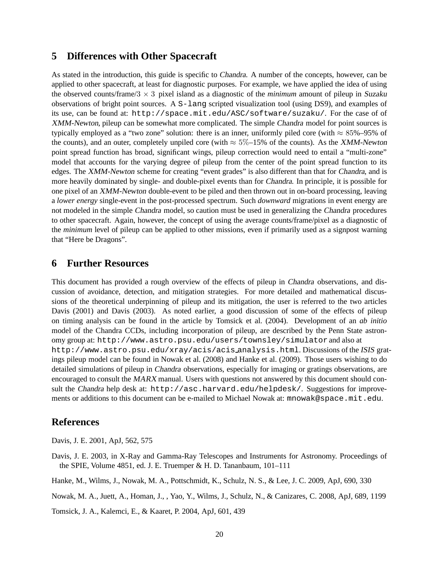### **5 Differences with Other Spacecraft**

As stated in the introduction, this guide is specific to Chandra. A number of the concepts, however, can be applied to other spacecraft, at least for diagnostic purposes. For example, we have applied the idea of using the observed counts/frame/3 × 3 pixel island as a diagnostic of the *minimum* amount of pileup in Suzaku observations of bright point sources. A S-lang scripted visualization tool (using DS9), and examples of its use, can be found at: http://space.mit.edu/ASC/software/suzaku/. For the case of of XMM-Newton, pileup can be somewhat more complicated. The simple Chandra model for point sources is typically employed as a "two zone" solution: there is an inner, uniformly piled core (with  $\approx 85\% - 95\%$  of the counts), and an outer, completely unpiled core (with  $\approx 5\%$  –15% of the counts). As the XMM-Newton point spread function has broad, significant wings, pileup correction would need to entail a "multi-zone" model that accounts for the varying degree of pileup from the center of the point spread function to its edges. The XMM-Newton scheme for creating "event grades" is also different than that for Chandra, and is more heavily dominated by single- and double-pixel events than for Chandra. In principle, it is possible for one pixel of an XMM-Newton double-event to be piled and then thrown out in on-board processing, leaving a *lower energy* single-event in the post-processed spectrum. Such *downward* migrations in event energy are not modeled in the simple Chandra model, so caution must be used in generalizing the Chandra procedures to other spacecraft. Again, however, the concept of using the average counts/frame/pixel as a diagnostic of the *minimum* level of pileup can be applied to other missions, even if primarily used as a signpost warning that "Here be Dragons".

### **6 Further Resources**

This document has provided a rough overview of the effects of pileup in Chandra observations, and discussion of avoidance, detection, and mitigation strategies. For more detailed and mathematical discussions of the theoretical underpinning of pileup and its mitigation, the user is referred to the two articles Davis (2001) and Davis (2003). As noted earlier, a good discussion of some of the effects of pileup on timing analysis can be found in the article by Tomsick et al. (2004). Development of an *ab initio* model of the Chandra CCDs, including incorporation of pileup, are described by the Penn State astronomy group at: http://www.astro.psu.edu/users/townsley/simulatorand also at http://www.astro.psu.edu/xray/acis/acis analysis.html. Discussions of the ISIS gratings pileup model can be found in Nowak et al. (2008) and Hanke et al. (2009). Those users wishing to do detailed simulations of pileup in Chandra observations, especially for imaging or gratings observations, are encouraged to consult the MARX manual. Users with questions not answered by this document should consult the Chandra help desk at: http://asc.harvard.edu/helpdesk/. Suggestions for improvements or additions to this document can be e-mailed to Michael Nowak at: mnowak@space.mit.edu.

### **References**

Davis, J. E. 2001, ApJ, 562, 575

Davis, J. E. 2003, in X-Ray and Gamma-Ray Telescopes and Instruments for Astronomy. Proceedings of the SPIE, Volume 4851, ed. J. E. Truemper & H. D. Tananbaum, 101–111

Hanke, M., Wilms, J., Nowak, M. A., Pottschmidt, K., Schulz, N. S., & Lee, J. C. 2009, ApJ, 690, 330

Nowak, M. A., Juett, A., Homan, J., , Yao, Y., Wilms, J., Schulz, N., & Canizares, C. 2008, ApJ, 689, 1199

Tomsick, J. A., Kalemci, E., & Kaaret, P. 2004, ApJ, 601, 439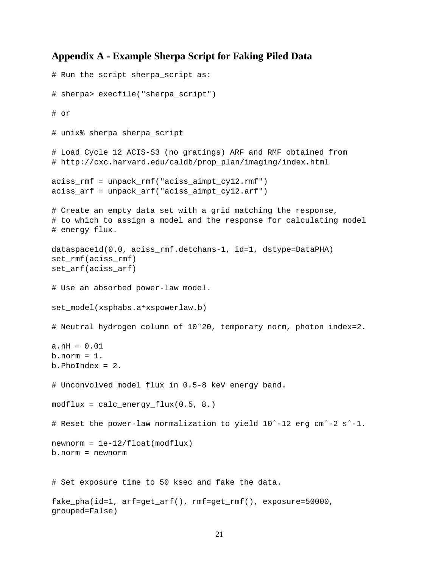## **Appendix A - Example Sherpa Script for Faking Piled Data**

```
# Run the script sherpa_script as:
# sherpa> execfile("sherpa_script")
# or
# unix% sherpa sherpa_script
# Load Cycle 12 ACIS-S3 (no gratings) ARF and RMF obtained from
# http://cxc.harvard.edu/caldb/prop_plan/imaging/index.html
aciss_rmf = unpack_rmf("aciss_aimpt_cy12.rmf")
aciss_arf = unpack_arf("aciss_aimpt_cy12.arf")
# Create an empty data set with a grid matching the response,
# to which to assign a model and the response for calculating model
# energy flux.
dataspace1d(0.0, aciss_rmf.detchans-1, id=1, dstype=DataPHA)
set_rmf(aciss_rmf)
set_arf(aciss_arf)
# Use an absorbed power-law model.
set_model(xsphabs.a*xspowerlaw.b)
# Neutral hydrogen column of 10ˆ20, temporary norm, photon index=2.
a.nH = 0.01
b.norm = 1.
b.PhoIndex = 2.
# Unconvolved model flux in 0.5-8 keV energy band.
modflux = calc\_energy_flux(0.5, 8.)# Reset the power-law normalization to yield 10ˆ-12 erg cmˆ-2 sˆ-1.
newnorm = 1e-12/fload(modflux)b.norm = newnorm
# Set exposure time to 50 ksec and fake the data.
fake_pha(id=1, arf=get_arf(), rmf=get_rmf(), exposure=50000,
grouped=False)
```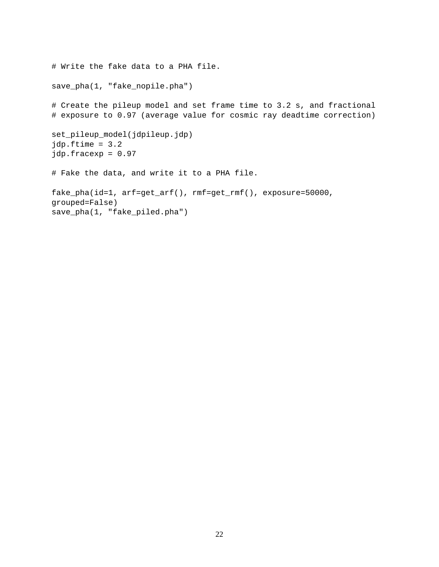```
# Write the fake data to a PHA file.
save_pha(1, "fake_nopile.pha")
# Create the pileup model and set frame time to 3.2 s, and fractional
# exposure to 0.97 (average value for cosmic ray deadtime correction)
set_pileup_model(jdpileup.jdp)
jdp.ftime = 3.2
jdp.fracexp = 0.97
# Fake the data, and write it to a PHA file.
fake_pha(id=1, arf=get_arf(), rmf=get_rmf(), exposure=50000,
grouped=False)
save_pha(1, "fake_piled.pha")
```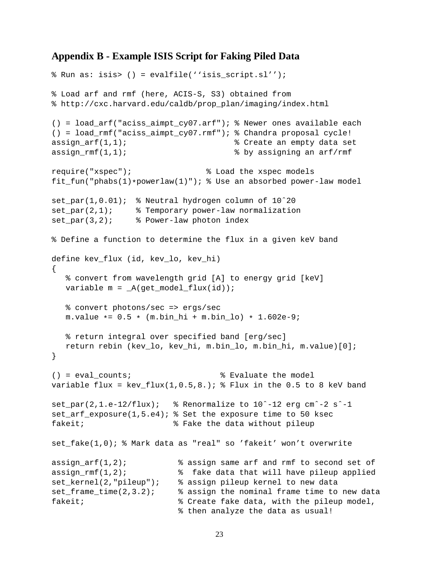### **Appendix B - Example ISIS Script for Faking Piled Data**

```
% Run as: isis> () = evalfile(''isis_script.sl'');
% Load arf and rmf (here, ACIS-S, S3) obtained from
% http://cxc.harvard.edu/caldb/prop_plan/imaging/index.html
() = load_arf("aciss_aimpt_cy07.arf"); % Newer ones available each
() = load_rmf("aciss_aimpt_cy07.rmf"); % Chandra proposal cycle!
assign arf(1,1); \qquad \qquad \qquad \qquad \qquad \qquad Create an empty data set
assign_rmf(1,1); % by assigning an arf/rmf
require("xspec"); % Load the xspec models
fit_fun("phabs(1)*powerlaw(1)"); % Use an absorbed power-law model
set_par(1,0.01); % Neutral hydrogen column of 10ˆ20
set_par(2,1); % Temporary power-law normalization
set_par(3,2); % Power-law photon index
% Define a function to determine the flux in a given keV band
define kev_flux (id, kev_lo, kev_hi)
{
   % convert from wavelength grid [A] to energy grid [keV]
   variable m = _A(get_model_flux(id));
   % convert photons/sec => ergs/sec
   m.value * = 0.5 * (m.bin_hi + m.bin_lo) * 1.602e-9;% return integral over specified band [erg/sec]
   return rebin (kev_lo, kev_hi, m.bin_lo, m.bin_hi, m.value)[0];
}
() = eval counts; \frac{1}{3} \frac{1}{3} \frac{1}{3} \frac{1}{3} \frac{1}{3} \frac{1}{3} \frac{1}{3} \frac{1}{3} \frac{1}{3} \frac{1}{3} \frac{1}{3} \frac{1}{3} \frac{1}{3} \frac{1}{3} \frac{1}{3} \frac{1}{3} \frac{1}{3} \frac{1}{3} \frac{1}{3} \frac{1}{3} \frac{variable flux = key_flux(1,0.5,8.); % Flux in the 0.5 to 8 keV band
set_par(2,1.e-12/flux); % Renormalize to 10ˆ-12 erg cmˆ-2 sˆ-1
set_arf_exposure(1,5.e4); % Set the exposure time to 50 ksec
fakeit; \qquad \qquad \text{?} Fake the data without pileup
set_fake(1,0); % Mark data as "real" so 'fakeit' won't overwrite
assign arf(1,2); \qquad \qquad \qquad assign same arf and rmf to second set of
assign_rmf(1,2); <br>stake data that will have pileup applied<br>set_kernel(2,"pileup"); % assign pileup kernel to new data<br>set_frame_time(2,3.2); % assign the nominal frame time to new data
                               % assign pileup kernel to new data
                                % assign the nominal frame time to new data
fakeit; \begin{array}{ccc} \text{fake} & \text{Set} & \text{Set} \\ \text{Set} & \text{Set} & \text{Set} \\ \text{Set} & \text{Set} & \text{Set} \end{array}% then analyze the data as usual!
```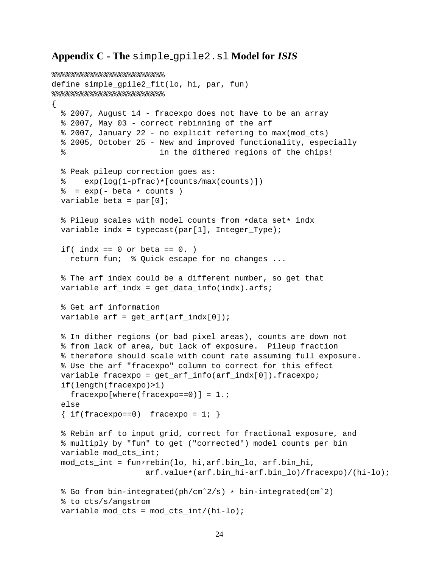### **Appendix C - The** simple gpile2.sl **Model for ISIS**

```
8%%%%%%%%%%%%%%%%%%%%%%%%%%%%%%%%%%
define simple_gpile2_fit(lo, hi, par, fun)
8888888888888888{
  % 2007, August 14 - fracexpo does not have to be an array
 % 2007, May 03 - correct rebinning of the arf
  % 2007, January 22 - no explicit refering to max(mod_cts)
  % 2005, October 25 - New and improved functionality, especially
  % in the dithered regions of the chips!
 % Peak pileup correction goes as:
       exp(log(1-pfrac)*[counts/max(counts)])
  \frac{1}{6} = exp(- beta \star counts)
 variable beta = par[0];
  % Pileup scales with model counts from *data set* indx
 variable indx = typecast(par[1], Integer_Type);
 if( indx == 0 or beta == 0. )
    return fun; % Quick escape for no changes ...
  % The arf index could be a different number, so get that
 variable arf indx = get data info(intdx).arfs;
  % Get arf information
 variable arf = get\_arf(arf_index[0]);% In dither regions (or bad pixel areas), counts are down not
  % from lack of area, but lack of exposure. Pileup fraction
  % therefore should scale with count rate assuming full exposure.
  % Use the arf "fracexpo" column to correct for this effect
 variable fracexpo = get_arf_info(arf_indx[0]).fracexpo;
 if(length(fracexpo)>1)
    fracexpo[where(fracexpo==0)] = 1.;
 else
  \{ if(fracexpo==0) \text{ fracexpo = } 1; \}% Rebin arf to input grid, correct for fractional exposure, and
  % multiply by "fun" to get ("corrected") model counts per bin
 variable mod_cts_int;
 mod cts int = fun*rebin(lo, hi,arf.bin lo, arf.bin hi,
                    arf.value*(arf.bin_hi-arf.bin_lo)/fracexpo)/(hi-lo);
  % Go from bin-integrated(ph/cmˆ2/s) * bin-integrated(cmˆ2)
  % to cts/s/angstrom
 variable mod_cts = mod_cts_int/(hi-lo);
```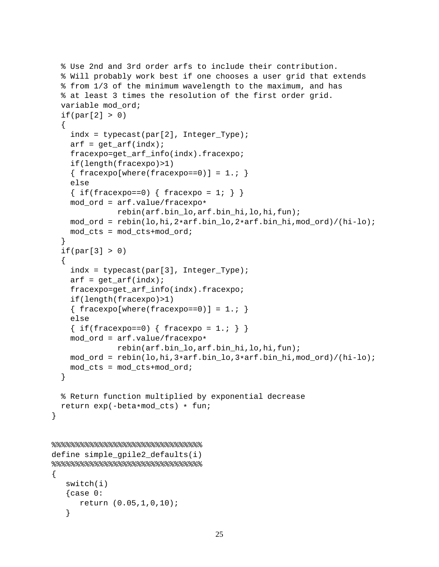```
% Use 2nd and 3rd order arfs to include their contribution.
  % Will probably work best if one chooses a user grid that extends
  % from 1/3 of the minimum wavelength to the maximum, and has
  % at least 3 times the resolution of the first order grid.
 variable mod_ord;
 if(par[2] > 0){
    indx = typecast(par[2], IntegerType);arf = get\_arf(intx);fracexpo=get_arf_info(indx).fracexpo;
    if(length(fracexpo)>1)
    \{ fracexpo[where(fracexpo==0)] = 1.; \}else
    { if(fracexpo==0) { fracexpo = 1; } }
   mod_ord = arf.value/fracexpo*
              rebin(arf.bin_lo,arf.bin_hi,lo,hi,fun);
   mod_ord = rebin(lo,hi,2*arf.bin_lo,2*arf.bin_hi,mod_ord)/(hi-lo);
   mod\_cts = mod\_cts + mod\_ord;}
  if(par[3] > 0){
    indx = typecast(par[3], Integer_Type);
   arf = qet arf(intx);fracexpo=get_arf_info(indx).fracexpo;
    if(length(fracexpo)>1)
    \{ fracexpo[where(fracexpo==0)] = 1.; \}else
    { if(fracexpo==0) { fracexpo = 1.; } }
   mod_ord = arf.value/fracexpo*
              rebin(arf.bin_lo,arf.bin_hi,lo,hi,fun);
   mod_ord = rebin(lo,hi,3*arf.bin_lo,3*arf.bin_hi,mod_ord)/(hi-lo);
   mod\_cts = mod\_cts + mod\_ord;}
  % Return function multiplied by exponential decrease
 return exp(-beta*mod_cts) * fun;
}
88888888888888888888define simple qpile2 defaults(i)
8888888888888888888{
  switch(i)
   \{case 0:return (0.05,1,0,10);
   }
```